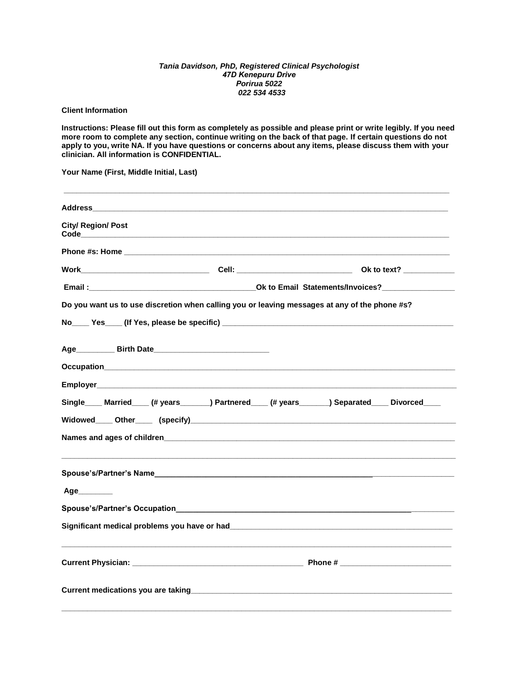## *Tania Davidson, PhD, Registered Clinical Psychologist 47D Kenepuru Drive Porirua 5022 022 534 4533*

**Client Information** 

**Instructions: Please fill out this form as completely as possible and please print or write legibly. If you need more room to complete any section, continue writing on the back of that page. If certain questions do not apply to you, write NA. If you have questions or concerns about any items, please discuss them with your clinician. All information is CONFIDENTIAL.** 

**Your Name (First, Middle Initial, Last)** 

|                           | Address and the contract of the contract of the contract of the contract of the contract of the contract of the                                                                                                                      |                                                                                                                                                                                                                                |
|---------------------------|--------------------------------------------------------------------------------------------------------------------------------------------------------------------------------------------------------------------------------------|--------------------------------------------------------------------------------------------------------------------------------------------------------------------------------------------------------------------------------|
| <b>City/ Region/ Post</b> |                                                                                                                                                                                                                                      |                                                                                                                                                                                                                                |
|                           |                                                                                                                                                                                                                                      |                                                                                                                                                                                                                                |
|                           |                                                                                                                                                                                                                                      |                                                                                                                                                                                                                                |
|                           |                                                                                                                                                                                                                                      | Email: Contract Contract Contract Contract Contract Contract Contract Contract Contract Contract Contract Contract Contract Contract Contract Contract Contract Contract Contract Contract Contract Contract Contract Contract |
|                           |                                                                                                                                                                                                                                      | Do you want us to use discretion when calling you or leaving messages at any of the phone #s?                                                                                                                                  |
|                           |                                                                                                                                                                                                                                      |                                                                                                                                                                                                                                |
|                           |                                                                                                                                                                                                                                      |                                                                                                                                                                                                                                |
|                           |                                                                                                                                                                                                                                      |                                                                                                                                                                                                                                |
|                           |                                                                                                                                                                                                                                      |                                                                                                                                                                                                                                |
|                           |                                                                                                                                                                                                                                      | Single Married (# years _______) Partnered (# years ______) Separated Divorced                                                                                                                                                 |
|                           |                                                                                                                                                                                                                                      |                                                                                                                                                                                                                                |
|                           | Names and ages of children <b>Exercía Contract and American Contract Contract Contract Contract Contract Contract Contract Contract Contract Contract Contract Contract Contract Contract Contract Contract Contract Contract Co</b> |                                                                                                                                                                                                                                |
|                           |                                                                                                                                                                                                                                      |                                                                                                                                                                                                                                |
| Age                       |                                                                                                                                                                                                                                      |                                                                                                                                                                                                                                |
|                           |                                                                                                                                                                                                                                      |                                                                                                                                                                                                                                |
|                           |                                                                                                                                                                                                                                      |                                                                                                                                                                                                                                |
|                           |                                                                                                                                                                                                                                      |                                                                                                                                                                                                                                |
|                           |                                                                                                                                                                                                                                      |                                                                                                                                                                                                                                |